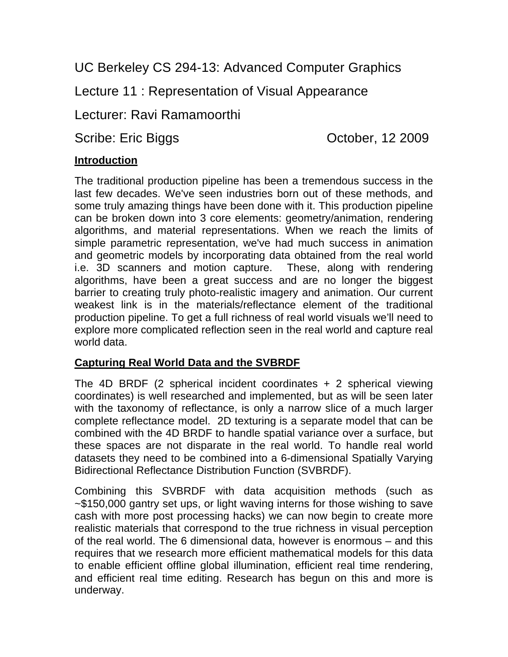UC Berkeley CS 294-13: Advanced Computer Graphics

Lecture 11 : Representation of Visual Appearance

Lecturer: Ravi Ramamoorthi

Scribe: Eric Biggs Corober, 12 2009

# **Introduction**

The traditional production pipeline has been a tremendous success in the last few decades. We've seen industries born out of these methods, and some truly amazing things have been done with it. This production pipeline can be broken down into 3 core elements: geometry/animation, rendering algorithms, and material representations. When we reach the limits of simple parametric representation, we've had much success in animation and geometric models by incorporating data obtained from the real world i.e. 3D scanners and motion capture. These, along with rendering algorithms, have been a great success and are no longer the biggest barrier to creating truly photo-realistic imagery and animation. Our current weakest link is in the materials/reflectance element of the traditional production pipeline. To get a full richness of real world visuals we'll need to explore more complicated reflection seen in the real world and capture real world data.

# **Capturing Real World Data and the SVBRDF**

The 4D BRDF (2 spherical incident coordinates + 2 spherical viewing coordinates) is well researched and implemented, but as will be seen later with the taxonomy of reflectance, is only a narrow slice of a much larger complete reflectance model. 2D texturing is a separate model that can be combined with the 4D BRDF to handle spatial variance over a surface, but these spaces are not disparate in the real world. To handle real world datasets they need to be combined into a 6-dimensional Spatially Varying Bidirectional Reflectance Distribution Function (SVBRDF).

Combining this SVBRDF with data acquisition methods (such as ~\$150,000 gantry set ups, or light waving interns for those wishing to save cash with more post processing hacks) we can now begin to create more realistic materials that correspond to the true richness in visual perception of the real world. The 6 dimensional data, however is enormous – and this requires that we research more efficient mathematical models for this data to enable efficient offline global illumination, efficient real time rendering, and efficient real time editing. Research has begun on this and more is underway.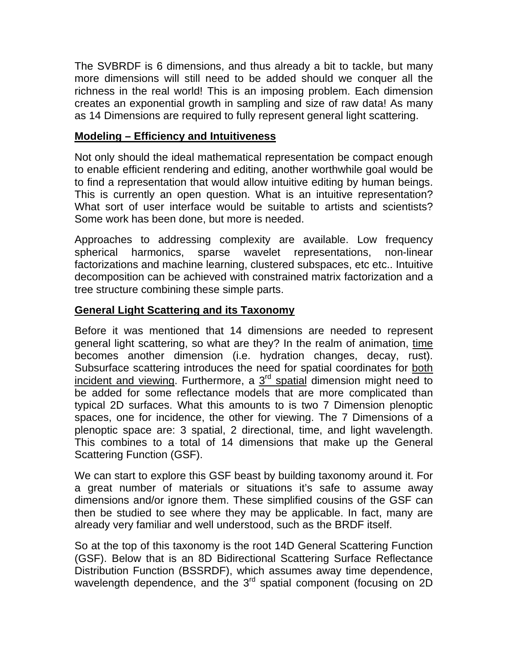The SVBRDF is 6 dimensions, and thus already a bit to tackle, but many more dimensions will still need to be added should we conquer all the richness in the real world! This is an imposing problem. Each dimension creates an exponential growth in sampling and size of raw data! As many as 14 Dimensions are required to fully represent general light scattering.

# **Modeling – Efficiency and Intuitiveness**

Not only should the ideal mathematical representation be compact enough to enable efficient rendering and editing, another worthwhile goal would be to find a representation that would allow intuitive editing by human beings. This is currently an open question. What is an intuitive representation? What sort of user interface would be suitable to artists and scientists? Some work has been done, but more is needed.

Approaches to addressing complexity are available. Low frequency spherical harmonics, sparse wavelet representations, non-linear factorizations and machine learning, clustered subspaces, etc etc.. Intuitive decomposition can be achieved with constrained matrix factorization and a tree structure combining these simple parts.

# **General Light Scattering and its Taxonomy**

Before it was mentioned that 14 dimensions are needed to represent general light scattering, so what are they? In the realm of animation, time becomes another dimension (i.e. hydration changes, decay, rust). Subsurface scattering introduces the need for spatial coordinates for both incident and viewing. Furthermore, a  $3<sup>rd</sup>$  spatial dimension might need to be added for some reflectance models that are more complicated than typical 2D surfaces. What this amounts to is two 7 Dimension plenoptic spaces, one for incidence, the other for viewing. The 7 Dimensions of a plenoptic space are: 3 spatial, 2 directional, time, and light wavelength. This combines to a total of 14 dimensions that make up the General Scattering Function (GSF).

We can start to explore this GSF beast by building taxonomy around it. For a great number of materials or situations it's safe to assume away dimensions and/or ignore them. These simplified cousins of the GSF can then be studied to see where they may be applicable. In fact, many are already very familiar and well understood, such as the BRDF itself.

So at the top of this taxonomy is the root 14D General Scattering Function (GSF). Below that is an 8D Bidirectional Scattering Surface Reflectance Distribution Function (BSSRDF), which assumes away time dependence, wavelength dependence, and the 3<sup>rd</sup> spatial component (focusing on 2D